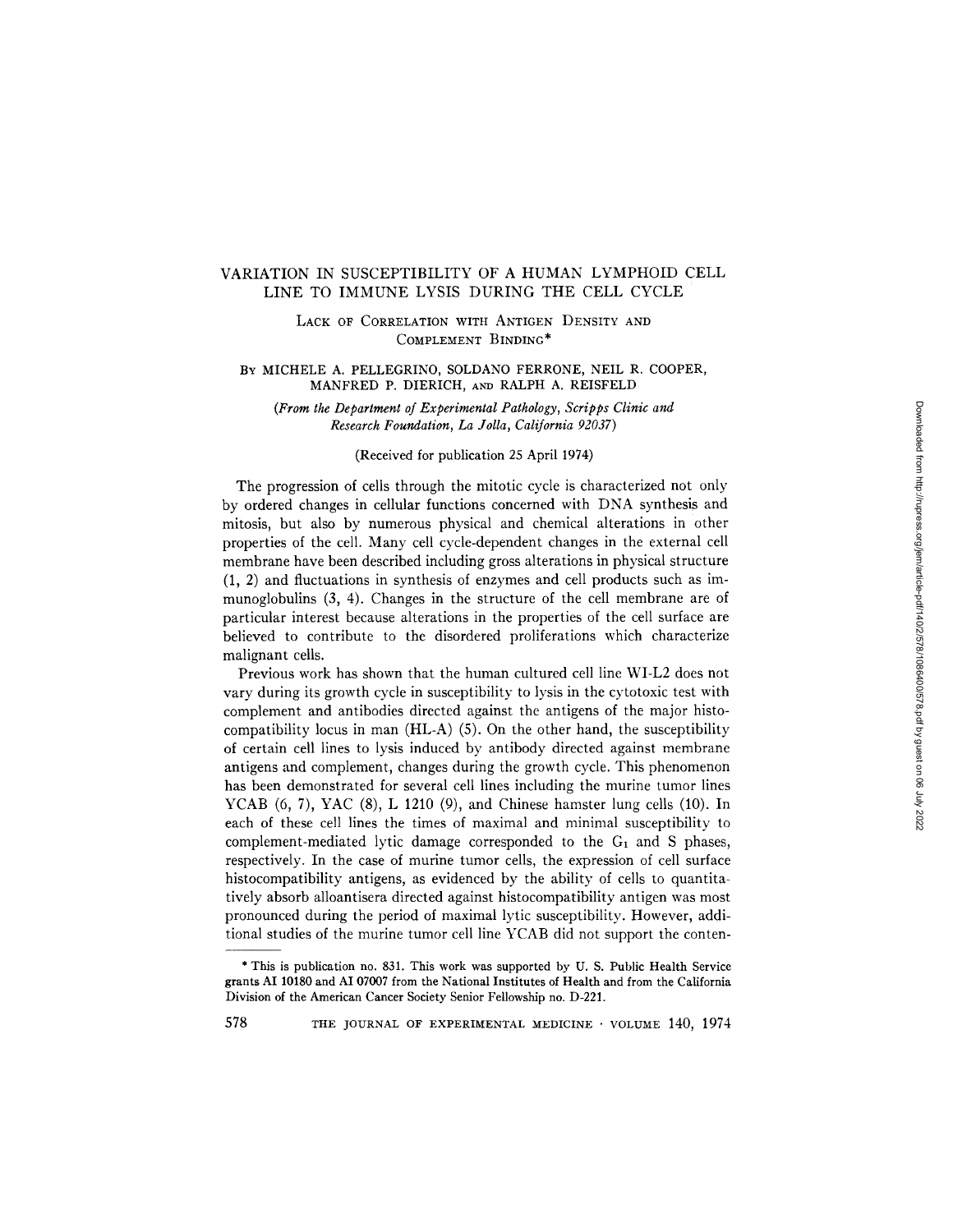# VARIATION IN SUSCEPTIBILITY OF A HUMAN LYMPHOID CELL LINE TO IMMUNE LYSIS DURING THE CELL CYCLE

LACK OF CORRELATION WITH ANTIGEN DENSITY AND COMPLEMENT BINDING\*

## BY MICHELE A. PELLEGRINO, SOLDANO FERRONE, NEIL R. COOPER, MANFRED P. DIERICH, AND RALPH A. REISFELD

*(From the Department of Experimental Pathology, Scripps Clinic and Research Foundation, La Jolla, California 92037)* 

## (Received for publication 25 April 1974)

The progression of cells through the mitotic cycle is characterized not only by ordered changes in cellular functions concerned with DNA synthesis and mitosis, but also by numerous physical and chemical alterations in other properties of the cell. Many cell cycle-dependent changes in the external cell membrane have been described including gross alterations in physical structure (1, 2) and fluctuations in synthesis of enzymes and cell products such as immunoglobulins (3, 4). Changes in the structure of the cell membrane are of particular interest because alterations in the properties of the cell surface are believed to contribute to the disordered proliferations which characterize malignant cells.

Previous work has shown that the human cultured cell line WI-L2 does not vary during its growth cycle in susceptibility to lysis in the cytotoxic test with complement and antibodies directed against the antigens of the major histocompatibility locus in man  $(HLA)$  (5). On the other hand, the susceptibility of certain cell lines to lysis induced by antibody directed against membrane antigens and complement, changes during the growth cycle. This phenomenon has been demonstrated for several cell lines including the murine tumor lines YCAB (6, 7), YAC (8), L 1210 (9), and Chinese hamster lung cells (10). In each of these cell lines the times of maximal and minimal susceptibility to complement-mediated lytic damage corresponded to the  $G_1$  and S phases, respectively. In the case of murine tumor cells, the expression of cell surface histocompatibility antigens, as evidenced by the ability of cells to quantitatively absorb alloantisera directed against histocompatibility antigen was most pronounced during the period of maximal lytic susceptibility. However, additional studies of the murine tumor cell line YCAB did not support the conten-

<sup>\*</sup> This is publication no. 831. This work was supported by U. S. Public Health Service grants AI 10180 and AI 07007 from the National Institutes of Health and from the California Division of the American Cancer Society Senior Fellowship no. D-221.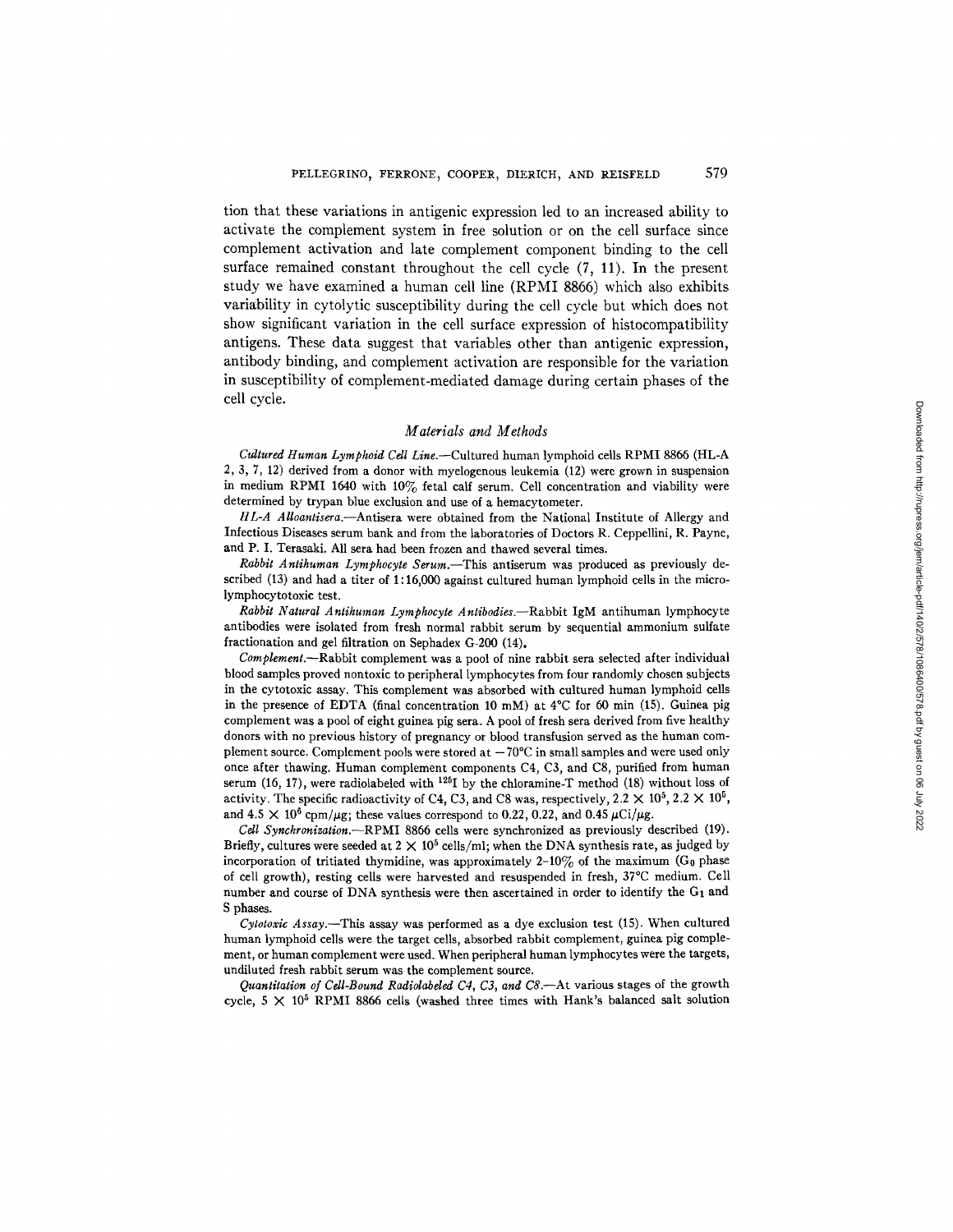tion that these variations in antigenic expression led to an increased ability to activate the complement system in free solution or on the cell surface since complement activation and late complement component binding to the cell surface remained constant throughout the cell cycle (7, 11). In the present study we have examined a human cell line (RPMI 8866) which also exhibits variability in cytolytic susceptibility during the cell cycle but which does not show significant variation in the cell surface expression of histocompatibility antigens. These data suggest that variables other than antigenic expression, antibody binding, and complement activation are responsible for the variation in susceptibility of complement-mediated damage during certain phases of the cell cycle.

### *Materials and Methods*

*Cultured Human Lymphoid Cell Line.--Cultured* human lymphoid ceils RPMI 8866 (HL-A 2, 3, 7, 12) derived from a donor with myelogenous leukemia (12) were grown in suspension in medium RPMI 1640 with  $10\%$  fetal calf serum. Cell concentration and viability were determined by trypan blue exclusion and use of a hemacytometer.

*HL-A Alloantisera.--Antisera* were obtained from the National Institute of Allergy and Infectious Diseases serum bank and from the laboratories of Doctors R. Ceppellini, R. Payne, and P. I. Terasaki. All sera had been frozen and thawed several times.

*Rabbit Antihuman Lymphocyte Serum.--This* antiserum was produced as previously described (13) and had a titer of 1:16,000 against cultured human lymphoid cells in the microlymphocytotoxic test.

*Rabbit Natural Antihuman Lymphocyte Antibodies.--Rabbit* IgM antihuman lymphocyte antibodies were isolated from fresh normal rabbit serum by sequential ammonium sulfate fractionation and gel filtration on Sephadex G-200 (14).

*Complement.--Rabbit* complement was a pool of nine rabbit sera selected after individual blood samples proved nontoxic to peripheral lymphocytes from four randomly chosen subjects in the cytotoxic assay. This complement was absorbed with cultured human lymphoid cells in the presence of EDTA (final concentration 10 mM) at  $4^{\circ}$ C for 60 min (15). Guinea pig complement was a pool of eight guinea pig sera. A pool of fresh sera derived from five healthy donors with no previous history of pregnancy or blood transfusion served as the human complement source. Complement pools were stored at  $-70^{\circ}$ C in small samples and were used only once after thawing. Human complement components C4, C3, and C8, purified from human serum (16, 17), were radiolabeled with  $^{125}I$  by the chloramine-T method (18) without loss of activity. The specific radioactivity of C4, C3, and C8 was, respectively,  $2.2 \times 10^5$ ,  $2.2 \times 10^5$ , and  $4.5 \times 10^6$  cpm/ $\mu$ g; these values correspond to 0.22, 0.22, and 0.45  $\mu$ Ci/ $\mu$ g.

*Cell Synchronization.--RPMI* 8866 cells were synchronized as previously described (19). Briefly, cultures were seeded at  $2 \times 10^5$  cells/ml; when the DNA synthesis rate, as judged by incorporation of tritiated thymidine, was approximately  $2\n-10\%$  of the maximum (G<sub>0</sub> phase of cell growth), resting cells were harvested and resuspended in fresh, 37°C medium. Cell number and course of DNA synthesis were then ascertained in order to identify the G1 and S phases.

*Cytotoxic Assay.--This* assay was performed as a dye exclusion test (15). When cultured human lymphoid cells were the target cells, absorbed rabbit complement, guinea pig complement, or human complement were used. When peripheral human lymphocytes were the targets, undiluted fresh rabbit serum was the complement source.

*Quantitation of Cell-Bound Radiolabded C4, C3, and CS.--At* various stages of the growth cycle, 5  $\times$  10<sup>5</sup> RPMI 8866 cells (washed three times with Hank's balanced salt solution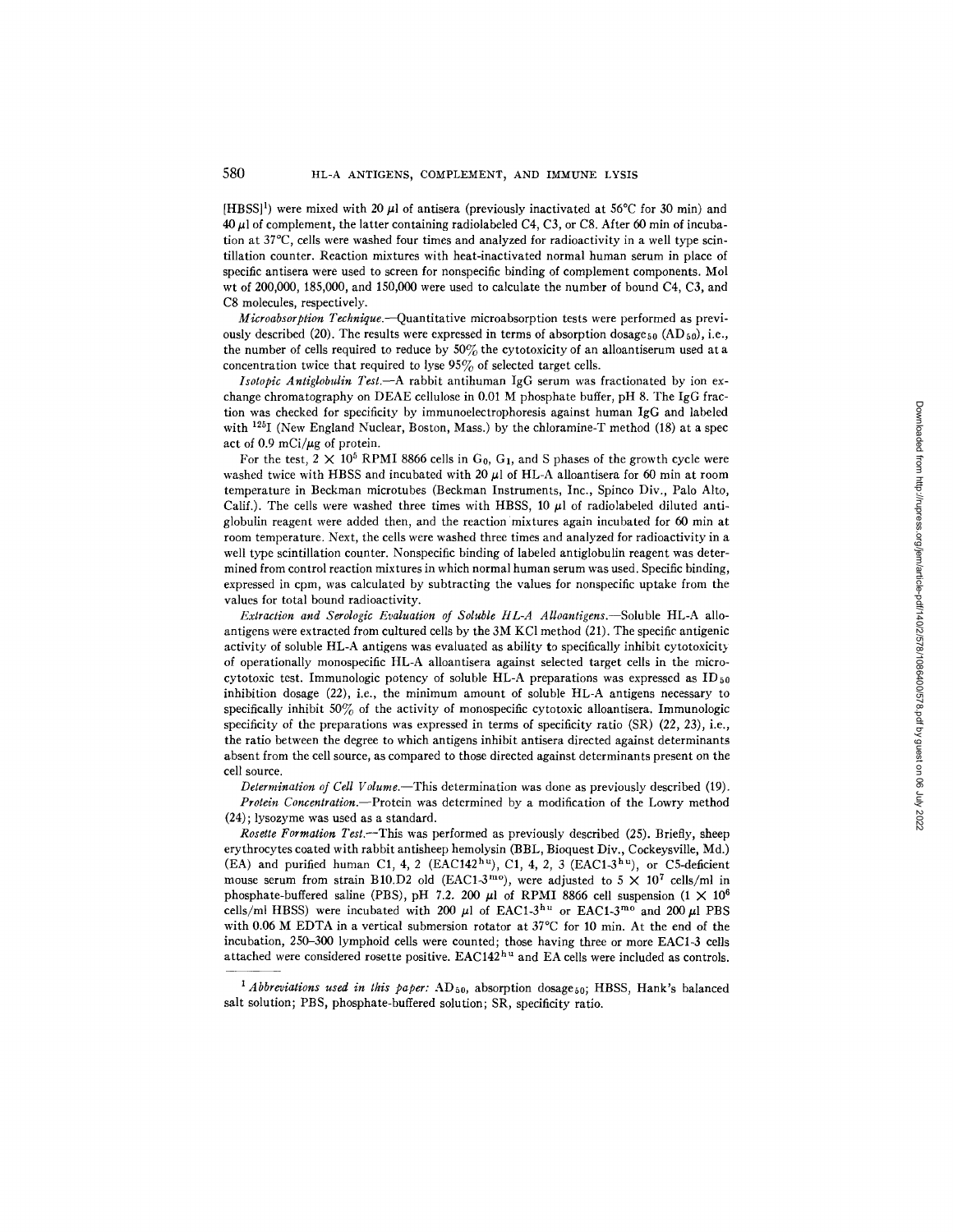[HBSS]<sup>1</sup>) were mixed with 20  $\mu$ ] of antisera (previously inactivated at 56°C for 30 min) and  $40 \mu$ l of complement, the latter containing radiolabeled C4, C3, or C8. After 60 min of incubation at 37°C, cells were washed four times and analyzed for radioactivity in a well type scintillation counter. Reaction mixtures with heat-inactivated normal human serum in place of specific antisera were used to screen for nonspecific binding of complement components. Mol wt of 200,000, 185,000, and 150,000 were used to calculate the number of bound C4, C3, and C8 molecules, respectively.

*Mieroabsorption Technique.--Quantitative* microabsorption tests were performed as previously described (20). The results were expressed in terms of absorption dosage  $_{50}$  (AD  $_{50}$ ), i.e., the number of cells required to reduce by  $50\%$  the cytotoxicity of an alloantiserum used at a concentration twice that required to lyse  $95\%$  of selected target cells.

*Isotopic Antiglobulin Test.--A* rabbit antihuman IgG serum was fractionated by ion exchange chromatography on DEAE cellulose in 0.01 M phosphate buffer, pH 8. The IgG fraction was checked for specificity by immunoelectrophoresis against human IgG and labeled with  $^{125}$ I (New England Nuclear, Boston, Mass.) by the chloramine-T method (18) at a spec act of 0.9 mCi/ $\mu$ g of protein.

For the test,  $2 \times 10^5$  RPMI 8866 cells in G<sub>0</sub>, G<sub>1</sub>, and S phases of the growth cycle were washed twice with HBSS and incubated with 20  $\mu$ l of HL-A alloantisera for 60 min at room temperature in Beckman microtubes (Beckman Instruments, Inc., Spinco Div., Palo Alto, Calif.). The cells were washed three times with HBSS, 10  $\mu$ l of radiolabeled diluted antiglobulin reagent were added then, and the reaction mixtures again incubated for 60 min at room temperature. Next, the cells were washed three times and analyzed for radioactivity in a well type scintillation counter. Nonspecific binding of labeled antiglobulin reagent was determined from control reaction mixtures in which normal human serum was used. Specific binding, expressed in cpm, was calculated by subtracting the values for nonspecific uptake from the values for total bound radioactivity.

*Extraction and Serologic Evaluation of Soluble tlL-A Alloantigens.--Soluble* HL-A alloantigens were extracted from cultured cells by the 3M KC1 method (21). The specific antigenic activity of soluble HL-A antigens was evaluated as ability to specifically inhibit cytotoxicity of operationally monospecific HL-A alloantisera against selected target cells in the microcytotoxic test. Immunologic potency of soluble HL-A preparations was expressed as  $ID_{50}$ inhibition dosage (22), i.e., the minimum amount of soluble HL-A antigens necessary to specifically inhibit 50% of the activity of monospecific cytotoxic alloantisera. Immunologic specificity of the preparations was expressed in terms of specificity ratio (SR) (22, 23), i.e., the ratio between the degree to which antigens inhibit antisera directed against determinants absent from the cell source, as compared to those directed against determinants present on the cell source.

*Determination of Cell Volume.--This* determination was done as previously described (19). *Protein Concentration.--Protein* was determined by a modification of the Lowry method

(24); lysozyme was used as a standard.

*Rosette Formation Test.*—This was performed as previously described (25). Briefly, sheep erythrocytes coated with rabbit antisheep hemolysin (BBL, Bioquest Div., Cockeysville, Md.) (EA) and purified human C1, 4, 2 (EAC142<sup>hu</sup>), C1, 4, 2, 3 (EAC1-3<sup>hu</sup>), or C5-deficient mouse serum from strain B10.D2 old (EAC1-3<sup>mo</sup>), were adjusted to 5  $\times$  10<sup>7</sup> cells/ml in phosphate-buffered saline (PBS), pH 7.2. 200  $\mu$ l of RPMI 8866 cell suspension (1  $\times$  10<sup>6</sup>) cells/ml HBSS) were incubated with 200  $\mu$ l of EAC1-3<sup>hu</sup> or EAC1-3<sup>mo</sup> and 200  $\mu$ l PBS with 0.06 M EDTA in a vertical submersion rotator at 37°C for 10 min. At the end of the incubation, 250-300 lymphoid cells were counted; those having three or more EAC1-3 cells attached were considered rosette positive.  $EAC142<sup>hu</sup>$  and  $EA$  cells were included as controls.

<sup>&</sup>lt;sup>1</sup> Abbreviations used in this paper: AD<sub>50</sub>, absorption dosage<sub>50</sub>; HBSS, Hank's balanced salt solution; PBS, phosphate-buffered solution; SR, specificity ratio.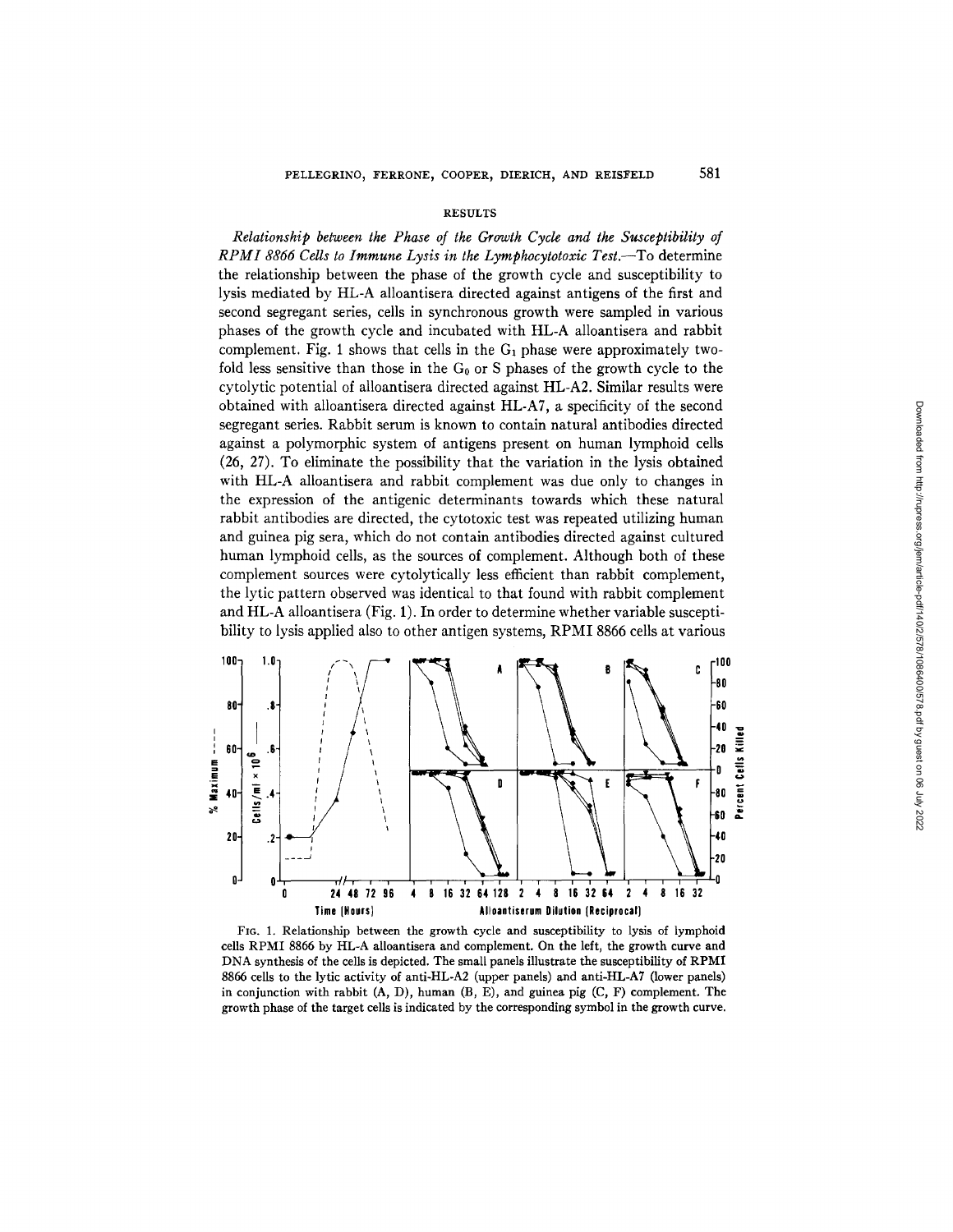#### **RESULTS**

*Relationship between the Phase of the Growth Cycle and the Susceptibility of RPMI 8866 Cells to Immune Lysis in the Lymphocytotoxic Test.--To* determine the relationship between the phase of the growth cycle and susceptibility to lysis mediated by HL-A alloantisera directed against antigens of the first and second segregant series, cells in synchronous growth were sampled in various phases of the growth cycle and incubated with HL-A alloantisera and rabbit complement. Fig. 1 shows that cells in the  $G_1$  phase were approximately twofold less sensitive than those in the  $G_0$  or S phases of the growth cycle to the cytolytic potential of alloantisera directed against HL-A2. Similar results were obtained with alloantisera directed against HL-A7, a specificity of the second segregant series. Rabbit serum is known to contain natural antibodies directed against a polymorphic system of antigens present on human lymphoid cells (26, 27). To eliminate the possibility that the variation in the lysis obtained with HL-A alloantisera and rabbit complement was due only to changes in the expression of the antigenic determinants towards which these natural rabbit antibodies are directed, the cytotoxic test was repeated utilizing human and guinea pig sera, which do not contain antibodies directed against cultured human lymphoid cells, as the sources of complement. Although both of these complement sources were cytolytically less efficient than rabbit complement, the lyric pattern observed was identical to that found with rabbit complement and HL-A alloantisera (Fig. 1). In order to determine whether variable susceptibility to lysis applied also to other antigen systems, RPMI 8866 cells at various



FIG. I. Relationship between the growth cycle and susceptibility to lysis of lymphoid cells RPMI 8866 by HL-A alloantisera and complement. On the left, the growth curve and DNA synthesis of the cells is depicted. The small panels illustrate the susceptibility of RPMI 8866 ceils to the lyric activity of anti-HL-A2 (upper panels) and anti-HL-A7 (lower panels) in conjunction with rabbit (A, D), human (B, E), and guinea pig (C, F) complement. The growth phase of the target cells is indicated by the corresponding symbol in the growth curve.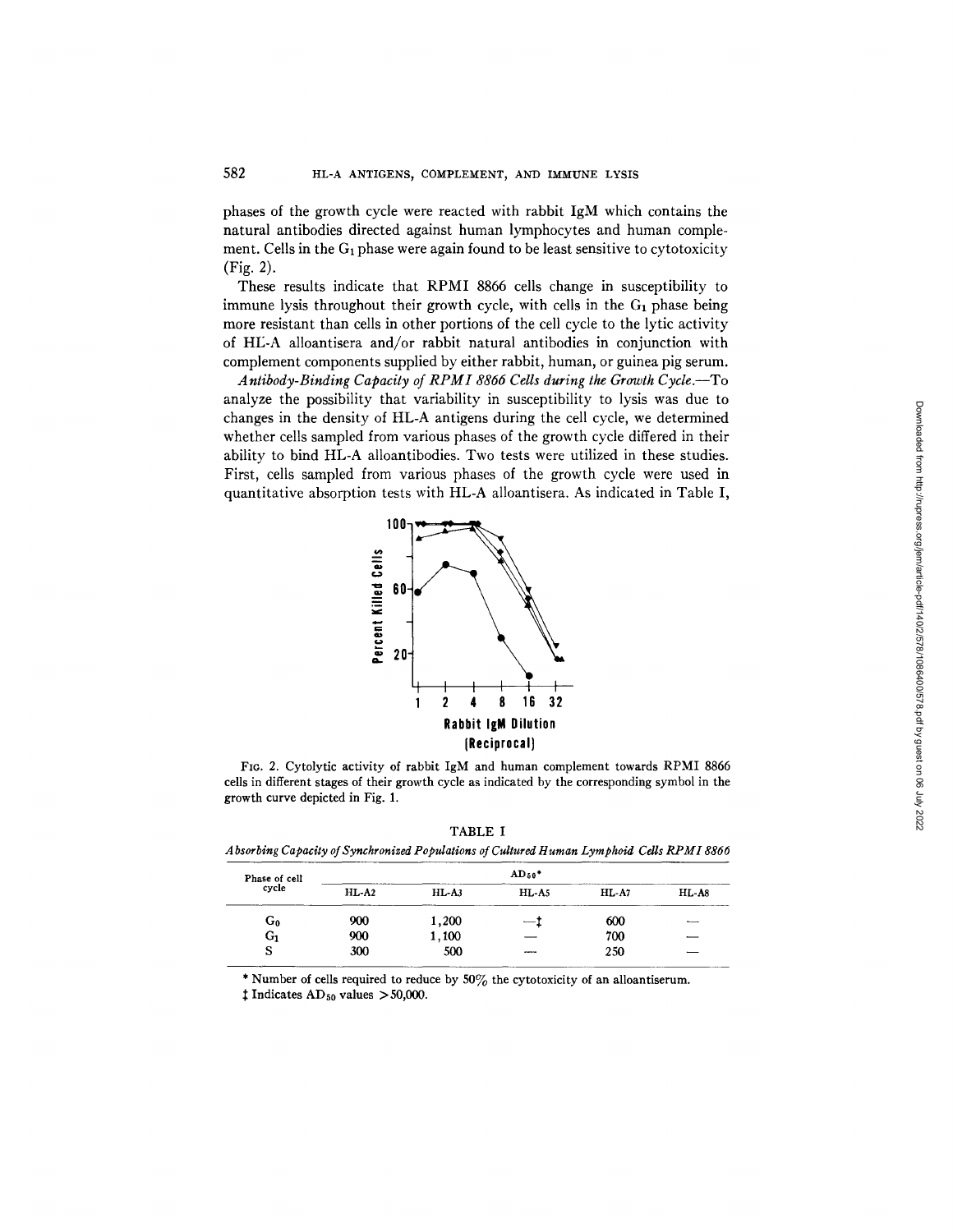phases of the growth cycle were reacted with rabbit IgM which contains the natural antibodies directed against human lymphocytes and human complement. Cells in the  $G_1$  phase were again found to be least sensitive to cytotoxicity (Fig. 2).

These results indicate that RPMI 8866 cells change in susceptibility to immune lysis throughout their growth cycle, with cells in the  $G_1$  phase being more resistant than cells in other portions of the cell cycle to the lyric activity of HL-A alloantisera and/or rabbit natural antibodies in conjunction with complement components supplied by either rabbit, human, or guinea pig serum.

*Antibody-Binding Capacity of RPMI 8866 Cells during the Growth Cycle.--To*  analyze the possibility that variability in susceptibility to lysis was due to changes in the density of HL-A antigens during the cell cycle, we determined whether cells sampled from various phases of the growth cycle differed in their ability to bind HL-A alloantibodies. Two tests were utilized in these studies. First, cells sampled from various phases of the growth cycle were used in quantitative absorption tests with HL-A alloantisera. As indicated in Table I,



FIG. 2. Cytolytic activity of rabbit IgM and human complement towards RPMI 8866 cells in different stages of their growth cycle as indicated by the corresponding symbol in the growth curve depicted in Fig. 1.

| TABLE I                                                                                   |  |
|-------------------------------------------------------------------------------------------|--|
| Absorbing Capacity of Synchronized Populations of Cultured Human Lymphoid Cells RPMI 8866 |  |

| Phase of cell |         | $AD_{50}$ * |                 |         |         |
|---------------|---------|-------------|-----------------|---------|---------|
| cycle         | $HL-A2$ | $HL-A3$     | HL-A5           | $HL-A7$ | $HL-AS$ |
| G0            | 900     | 1,200       | $\qquad \qquad$ | 600     | $-$     |
| G,            | 900     | 1,100       |                 | 700     | _       |
| s             | 300     | 500         | ----            | 250     |         |

\* Number of cells required to reduce by  $50\%$  the cytotoxicity of an alloantiserum.

 $\ddagger$  Indicates AD<sub>50</sub> values > 50,000.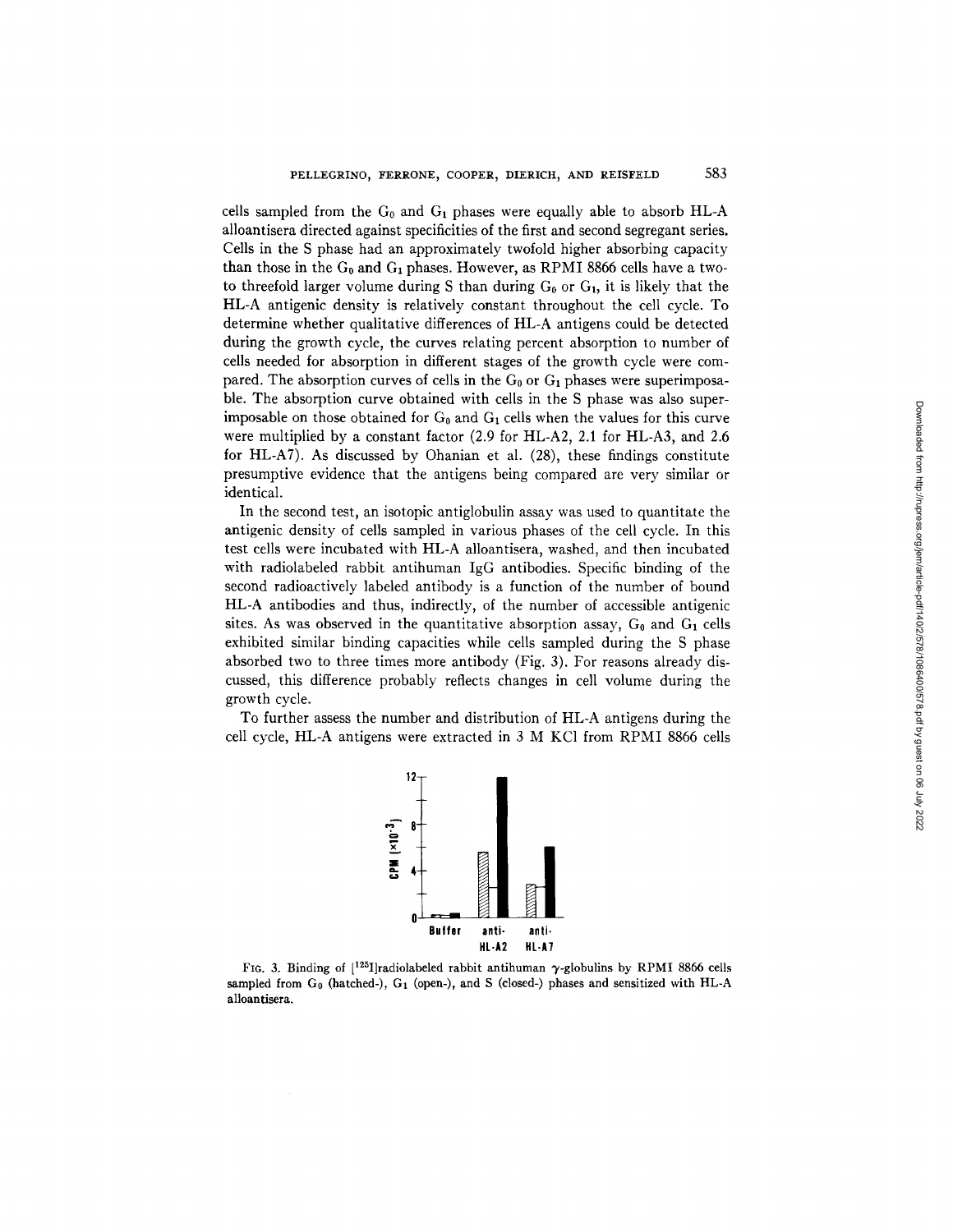cells sampled from the  $G_0$  and  $G_1$  phases were equally able to absorb HL-A alloantisera directed against specificities of the first and second segregant series. Cells in the S phase had an approximately twofold higher absorbing capacity than those in the  $G_0$  and  $G_1$  phases. However, as RPMI 8866 cells have a twoto threefold larger volume during S than during  $G_0$  or  $G_1$ , it is likely that the HL-A antigenic density is relatively constant throughout the cell cycle. To determine whether qualitative differences of HL-A antigens could be detected during the growth cycle, the curves relating percent absorption to number of cells needed for absorption in different stages of the growth cycle were compared. The absorption curves of cells in the  $G_0$  or  $G_1$  phases were superimposable. The absorption curve obtained with cells in the S phase was also superimposable on those obtained for  $G_0$  and  $G_1$  cells when the values for this curve were multiplied by a constant factor (2.9 for HL-A2, 2.1 for HL-A3, and 2.6 for HL-A7). As discussed by Ohanian et al. (28), these findings constitute presumptive evidence that the antigens being compared are very similar or identical.

In the second test, an isotopic antiglobulin assay was used to quantitate the antigenic density of cells sampled in various phases of the cell cycle. In this test cells were incubated with HL-A alloantisera, washed, and then incubated with radiolabeled rabbit antihuman IgG antibodies. Specific binding of the second radioactively labeled antibody is a function of the number of bound HL-A antibodies and thus, indirectly, of the number of accessible antigenic sites. As was observed in the quantitative absorption assay,  $G_0$  and  $G_1$  cells exhibited similar binding capacities while cells sampled during the S phase absorbed two to three times more antibody (Fig. 3). For reasons already discussed, this difference probably reflects changes in cell volume during the growth cycle.

To further assess the number and distribution of HL-A antigens during the cell cycle, HL-A antigens were extracted in 3 M KC1 from RPMI 8866 cells



FIG. 3. Binding of  $[125]$ radiolabeled rabbit antihuman  $\gamma$ -globulins by RPMI 8866 cells sampled from G<sub>0</sub> (hatched-), G<sub>1</sub> (open-), and S (closed-) phases and sensitized with HL-A **alloantisera.**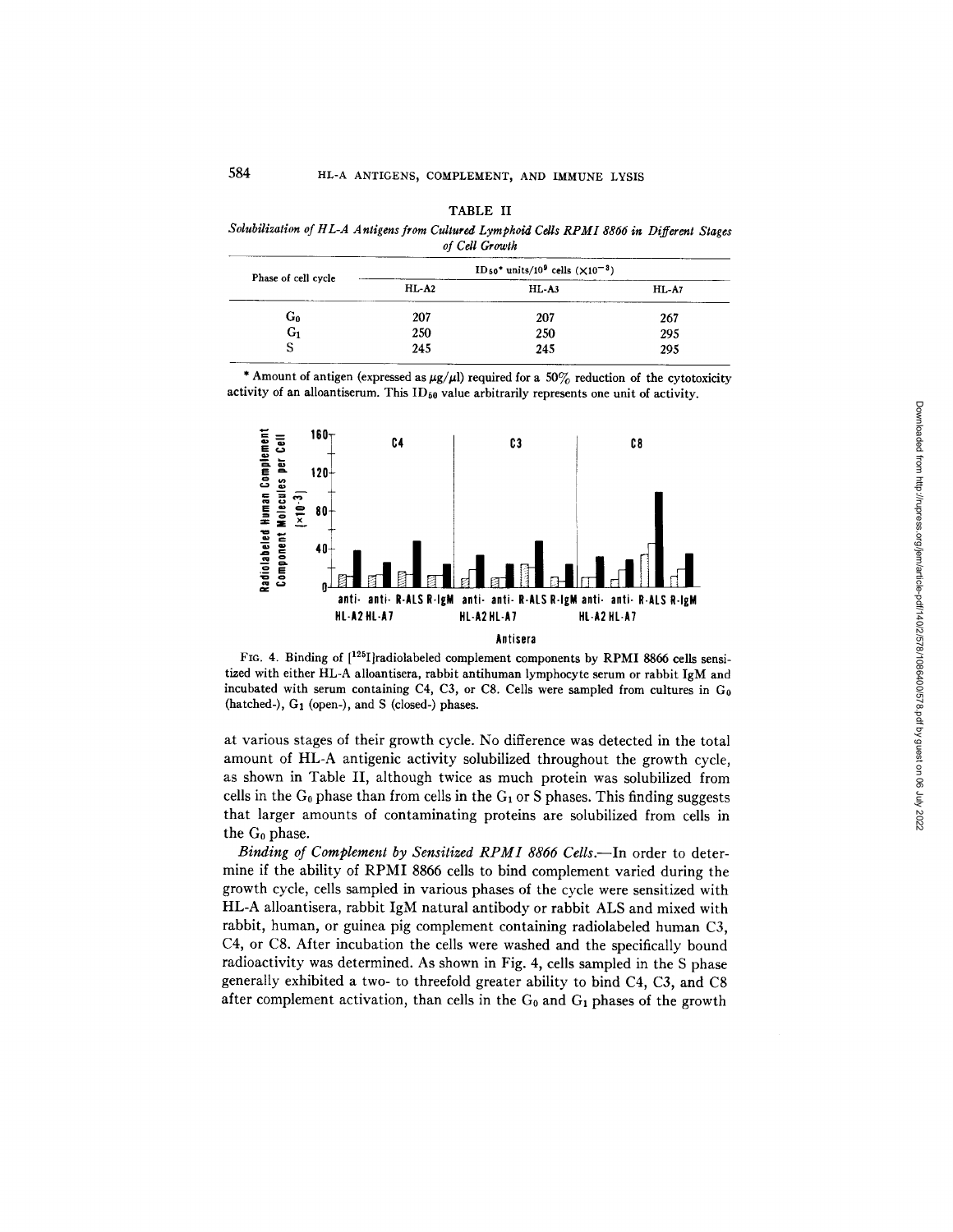| __<br>__<br>-<br>___<br>۰<br>٠ |  |
|--------------------------------|--|
|--------------------------------|--|

*Sdubilization of HL-A Antigens from Cultured Lymphoid Cells RPMI 8866 in Different Stages of Cell Growth* 

| Phase of cell cycle |         | $ID_{50}$ * units/10 <sup>9</sup> cells ( $X10^{-3}$ ) |         |
|---------------------|---------|--------------------------------------------------------|---------|
|                     | $HL-A2$ | $HL-A3$                                                | $HL-A7$ |
| G٥                  | 207     | 207                                                    | 267     |
| G1                  | 250     | 250                                                    | 295     |
|                     | 245     | 245                                                    | 295     |

\* Amount of antigen (expressed as  $\mu$ g/ $\mu$ l) required for a 50% reduction of the cytotoxicity activity of an alloantiserum. This  $ID_{50}$  value arbitrarily represents one unit of activity.



FIG. 4. Binding of  $[1^{25}]$ radiolabeled complement components by RPMI 8866 cells sensitized with either HL-A alloantisera, rabbit antihuman lymphocyte serum or rabbit IgM and incubated with serum containing C4, C3, or C8. Cells were sampled from cultures in  $G_0$ (hatched-), G1 (open-), and S (closed-) phases.

at various stages of their growth cycle. No difference was detected in the total amount of HL-A antigenic activity solubilized throughout the growth cycle, as shown in Table II, although twice as much protein was solubilized from cells in the  $G_0$  phase than from cells in the  $G_1$  or S phases. This finding suggests that larger amounts of contaminating proteins are solubilized from cells in the Go phase.

*Binding of Complement by Sensitized RPMI 8866 Cells.*—In order to determine if the ability of RPMI 8866 cells to bind complement varied during the growth cycle, cells sampled in various phases of the cycle were sensitized with HL-A alloantisera, rabbit IgM natural antibody or rabbit ALS and mixed with rabbit, human, or guinea pig complement containing radiolabeled human C3, C4, or C8. After incubation the cells were washed and the specifically bound radioactivity was determined. As shown in Fig. 4, cells sampled in the S phase generally exhibited a two- to threefold greater ability to bind C4, C3, and C8 after complement activation, than cells in the  $G_0$  and  $G_1$  phases of the growth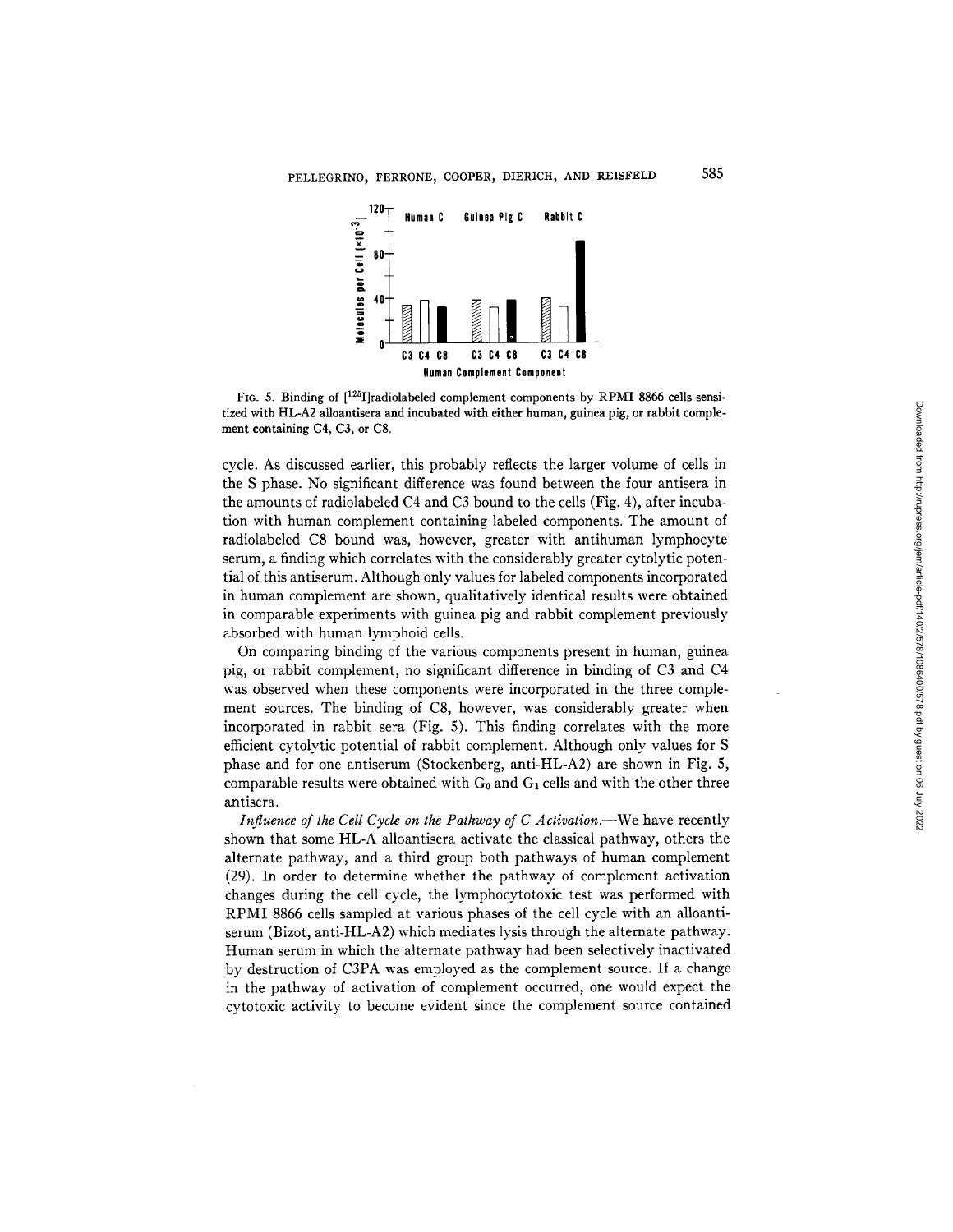

FIG. 5. Binding of [<sup>125</sup>I]radiolabeled complement components by RPMI 8866 cells sensi**tized with HL-A2 alloantisera and incubated with either human, guinea pig, or rabbit complement containing C4, C3, or C8.** 

cycle. As discussed earlier, this probably reflects the larger volume of cells in the S phase. No significant difference was found between the four antisera in the amounts of radiolabeled C4 and C3 bound to the cells (Fig. 4), after incubation with human complement containing labeled components. The amount of radiolabeled C8 bound was, however, greater with antihuman lymphocyte serum, a finding which correlates with the considerably greater cytolytic potential of this antiserum. Although only values for labeled components incorporated in human complement are shown, qualitatively identical results were obtained in comparable experiments with guinea pig and rabbit complement previously absorbed with human lymphoid cells.

On comparing binding of the various components present in human, guinea pig, or rabbit complement, no significant difference in binding of C3 **and** C4 was observed when these components were incorporated in the three complement sources. The binding of C8, however, was considerably greater when incorporated in rabbit sera (Fig. 5). This finding correlates with the more efficient cytolytic potential of rabbit complement. Although only values for S phase and for one antiserum (Stockenberg, anti-HL-A2) are shown in Fig. 5, comparable results were obtained with  $G_0$  and  $G_1$  cells and with the other three antisera.

*Influence of the Cell Cycle on the Pathway of C Activation.*—We have recently shown that some HL-A alloantisera activate the classical pathway, others the alternate pathway, and a third group both pathways of human complement (29). In order to determine whether the pathway of complement activation changes during the cell cycle, the lymphocytotoxic test was performed with RPMI 8866 cells sampled at various phases of the cell cycle with an alloantiserum (Bizot, anti-HL-A2) which mediates lysis through the alternate pathway. Human serum in which the alternate pathway had been selectively inactivated by destruction of C3PA was employed as the complement source. If a change in the pathway of activation of complement occurred, one would expect the cytotoxic activity to become evident since the complement source contained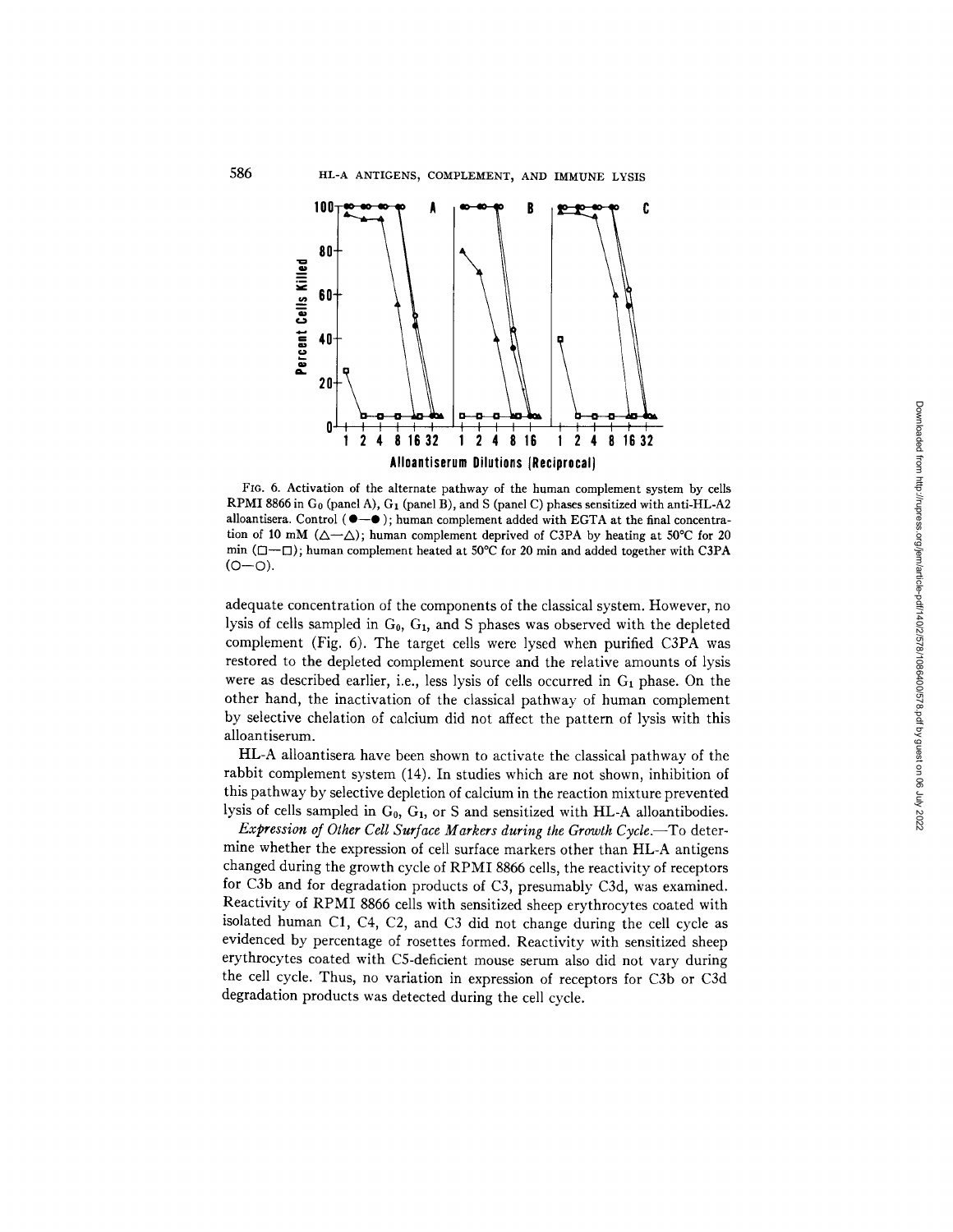

FIG. 6. Activation of the alternate pathway of the human complement system by cells RPMI 8866 in Go (panel A), G1 (panel B), and S (panel C) phases sensitized with anti-HL-A2 alloantisera. Control  $(\bullet-\bullet)$ ; human complement added with EGTA at the final concentration of 10 mM ( $\Delta-\Delta$ ); human complement deprived of C3PA by heating at 50°C for 20 min ( $\Box$ — $\Box$ ); human complement heated at 50°C for 20 min and added together with C3PA  $(O - O)$ .

adequate concentration of the components of the classical system. However, no lysis of cells sampled in  $G_0$ ,  $G_1$ , and S phases was observed with the depleted complement (Fig. 6). The target cells were lysed when purified C3PA was restored to the depleted complement source and the relative amounts of lysis were as described earlier, i.e., less lysis of cells occurred in  $G_1$  phase. On the other hand, the inactivation of the classical pathway of human complement by selective chelation of calcium did not affect the pattern of lysis with this alloantiserum.

HL-A alloantisera have been shown to activate the classical pathway of the rabbit complement system (14). In studies which are not shown, inhibition of this pathway by selective depletion of calcium in the reaction mixture prevented lysis of cells sampled in  $G_0$ ,  $G_1$ , or S and sensitized with HL-A alloantibodies.

*Expression of Other Cell Surface Markers during the Growth Cycle.--To* determine whether the expression of cell surface markers other than HL-A antigens changed during the growth cycle of RPMI 8866 cells, the reactivity of receptors for C3b and for degradation products of C3, presumably C3d, was examined. Reactivity of RPMI 8866 cells with sensitized sheep erythrocytes coated with isolated human C1, C4, C2, and C3 did not change during the cell cycle as evidenced by percentage of rosettes formed. Reactivity with sensitized sheep erythrocytes coated with C5-deficient mouse serum also did not vary during the cell cycle. Thus, no variation in expression of receptors for C3b or C3d degradation products was detected during the cell cycle.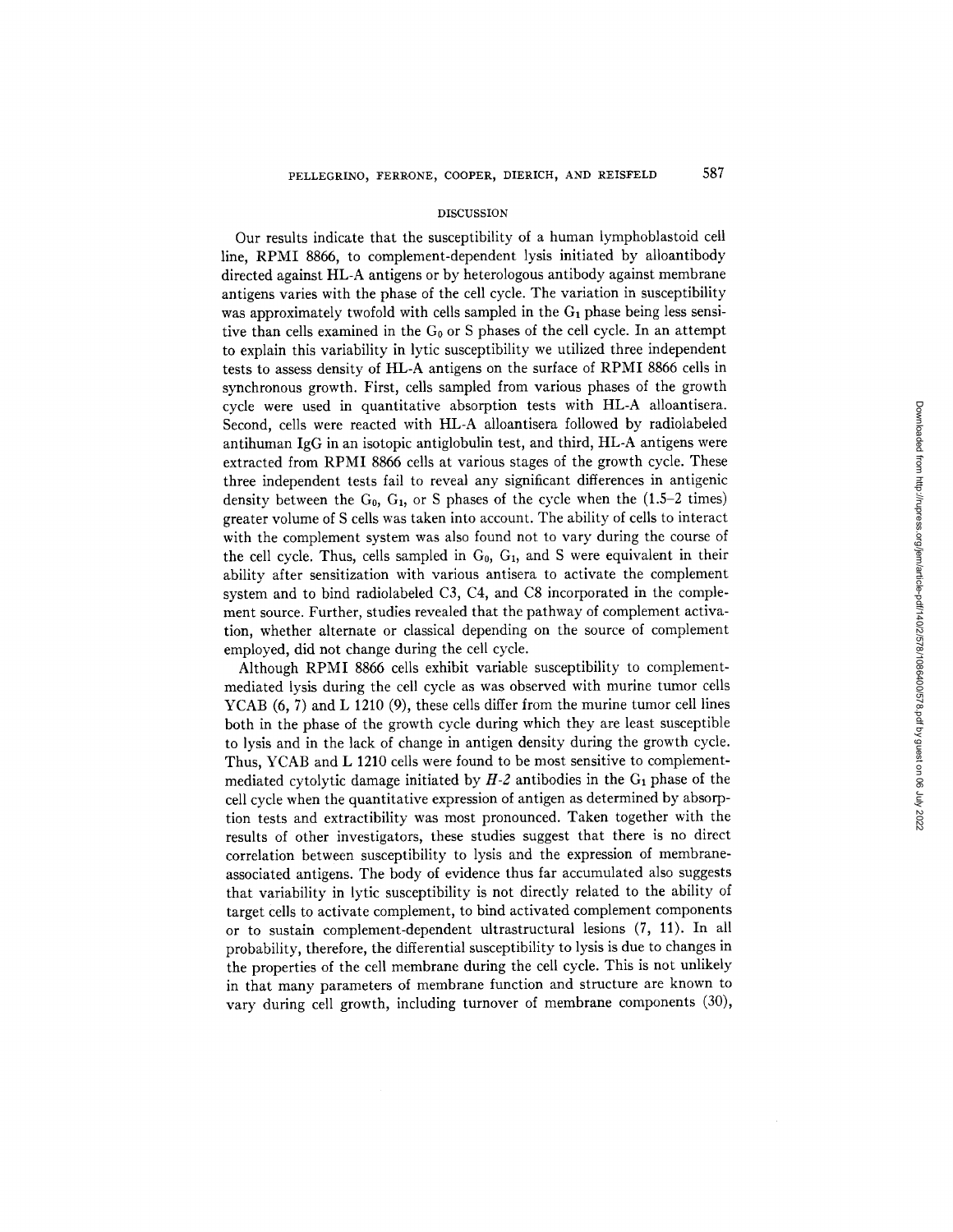### DISCUSSION

Our results indicate that the susceptibility of a human lymphoblastoid cell line, RPMI 8866, to complement-dependent lysis initiated by alloantibody directed against HL-A antigens or by heterologous antibody against membrane antigens varies with the phase of the cell cycle. The variation in susceptibility was approximately twofold with cells sampled in the  $G_1$  phase being less sensitive than cells examined in the  $G_0$  or S phases of the cell cycle. In an attempt to explain this variability in lyric susceptibility we utilized three independent tests to assess density of HL-A antigens on the surface of RPMI 8866 cells in synchronous growth. First, cells sampled from various phases of the growth cycle were used in quantitative absorption tests with HL-A alloantisera. Second, cells were reacted with HL-A alloantisera followed by radiolabeled antihuman IgG in an isotopic antiglobulin test, and third, HL-A antigens were extracted from RPMI 8866 cells at various stages of the growth cycle. These three independent tests fail to reveal any significant differences in antigenic density between the  $G_0$ ,  $G_1$ , or S phases of the cycle when the (1.5-2 times) greater volume of S cells was taken into account. The ability of cells to interact with the complement system was also found not to vary during the course of the cell cycle. Thus, cells sampled in  $G_0$ ,  $G_1$ , and S were equivalent in their ability after sensitization with various antisera to activate the complement system and to bind radiolabeled C3, C4, and C8 incorporated in the complement source. Further, studies revealed that the pathway of complement activation, whether alternate or classical depending on the source of complement employed, did not change during the cell cycle.

Although RPMI 8866 cells exhibit variable susceptibility to complementmediated lysis during the cell cycle as was observed with murine tumor cells YCAB (6, 7) and L 1210 (9), these cells differ from the murine tumor cell lines both in the phase of the growth cycle during which they are least susceptible to lysis and in the lack of change in antigen density during the growth cycle. Thus, YCAB and L 1210 cells were found to be most sensitive to complementmediated cytolytic damage initiated by  $H-2$  antibodies in the  $G<sub>1</sub>$  phase of the cell cycle when the quantitative expression of antigen as determined by absorption tests and extractibility was most pronounced. Taken together with the results of other investigators, these studies suggest that there is no direct correlation between susceptibility to lysis and the expression of membraneassociated antigens. The body of evidence thus far accumulated also suggests that variability in lyric susceptibility is not directly related to the ability of target cells to activate complement, to bind activated complement components or to sustain complement-dependent ultrastructural lesions (7, 11). In all probability, therefore, the differential susceptibility to lysis is due to changes in the properties of the cell membrane during the cell cycle. This is not unlikely in that many parameters of membrane function and structure are known to vary during cell growth, including turnover of membrane components (30),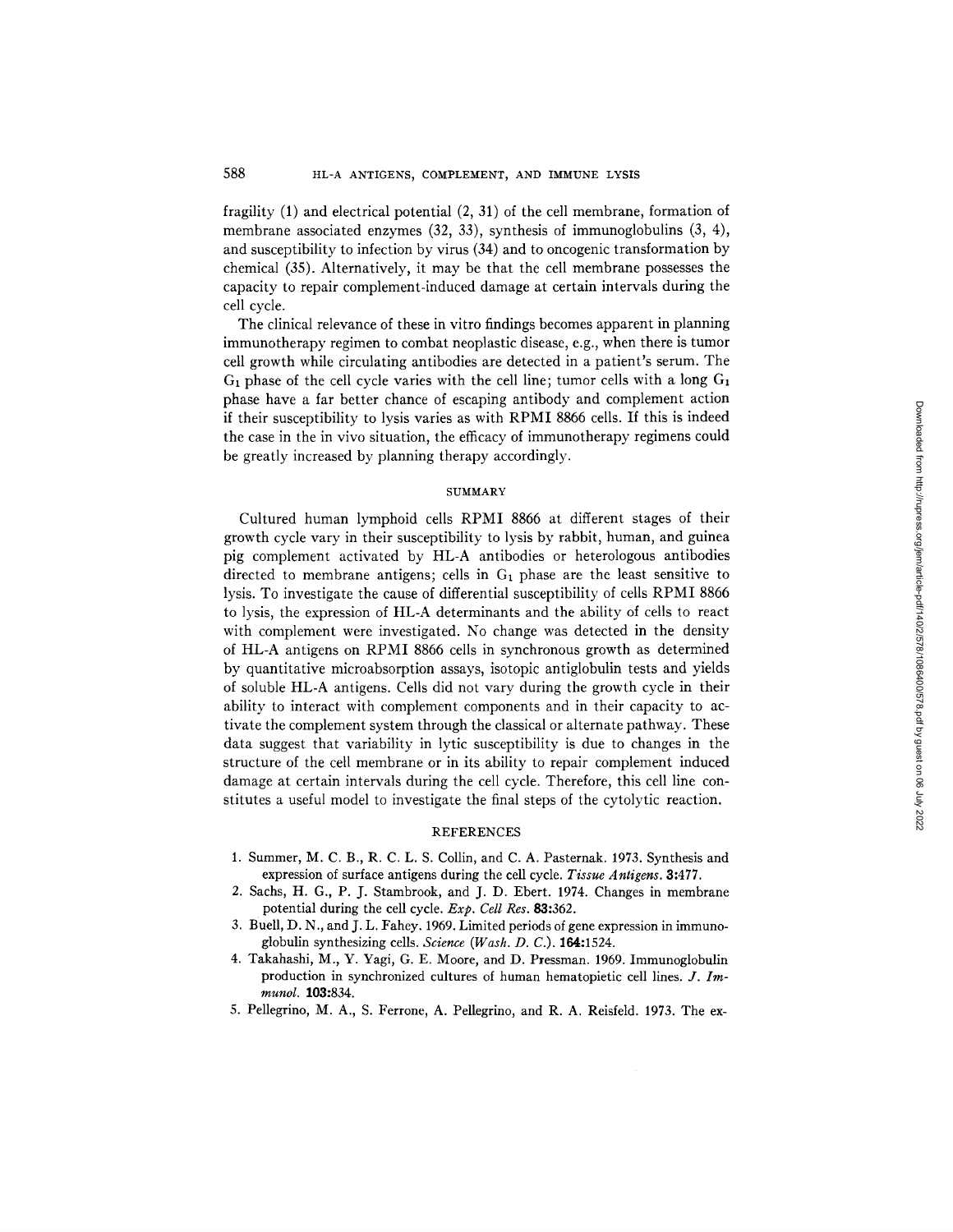fragility (1) and electrical potential (2, 31) of the cell membrane, formation of membrane associated enzymes (32, 33), synthesis of immunoglobulins (3, 4), and susceptibility to infection by virus (34) and to oncogenic transformation by chemical (35). Alternatively, it may be that the cell membrane possesses the capacity to repair complement-induced damage at certain intervals during the cell cycle.

The clinical relevance of these in vitro findings becomes apparent in planning immunotherapy regimen to combat neoplastic disease, e.g., when there is tumor cell growth while circulating antibodies are detected in a patient's serum. The  $G_1$  phase of the cell cycle varies with the cell line; tumor cells with a long  $G_1$ phase have a far better chance of escaping antibody and complement action if their susceptibility to lysis varies as with RPMI 8866 cells. If this is indeed the case in the in vivo situation, the efficacy of immunotherapy regimens could be greatly increased by planning therapy accordingly.

### **SUMMARY**

Cultured human lymphoid cells RPMI 8866 at different stages of their growth cycle vary in their susceptibility to lysis by rabbit, human, and guinea pig complement activated by HL-A antibodies or heterologous antibodies directed to membrane antigens; cells in  $G_1$  phase are the least sensitive to lysis. To investigate the cause of differential susceptibility of cells RPMI 8866 to lysis, the expression of HL-A determinants and the ability of cells to react with complement were investigated. No change was detected in the density of HL-A antigens on RPMI 8866 cells in synchronous growth as determined by quantitative microabsorption assays, isotopic antiglobulin tests and yields of soluble HL-A antigens. Cells did not vary during the growth cycle in their ability to interact with complement components and in their capacity to activate the complement system through the classical or alternate pathway. These data suggest that variability in lyric susceptibility is due to changes in the structure of the cell membrane or in its ability to repair complement induced damage at certain intervals during the cell cycle. Therefore, this cell line constitutes a useful model to investigate the final steps of the cytolytic reaction.

# REFERENCES

- 1. Summer, M. C. B., R. C. L. S. Collin, and C. A. Pasternak. 1973. Synthesis and expression of surface antigens during the cell cycle. *Tissue Antigens.* 3:477.
- 2. Sachs, H. G., P. J. Stambrook, and J. D. Ebert. 1974. Changes in membrane potential during the cell cycle. *Exp. Cell Res.* 83:362.
- 3. Buell, D. N., and J. L. Fahey. 1969. Limited periods of gene expression in immunoglobulin synthesizing cells. *Science (Wash. D. C.).* 164:1524.
- 4. Takahashi, M., Y. Yagi, G. E. Moore, and D. Pressman. 1969. Immunoglobulin production in synchronized cultures of human hematopietic cell lines. *J. Immunol.* 103:834.
- 5. Pellegrino, M. A., S. Ferrone, A. Pellegrino, and R. A. Reisfeld. 1973. The ex-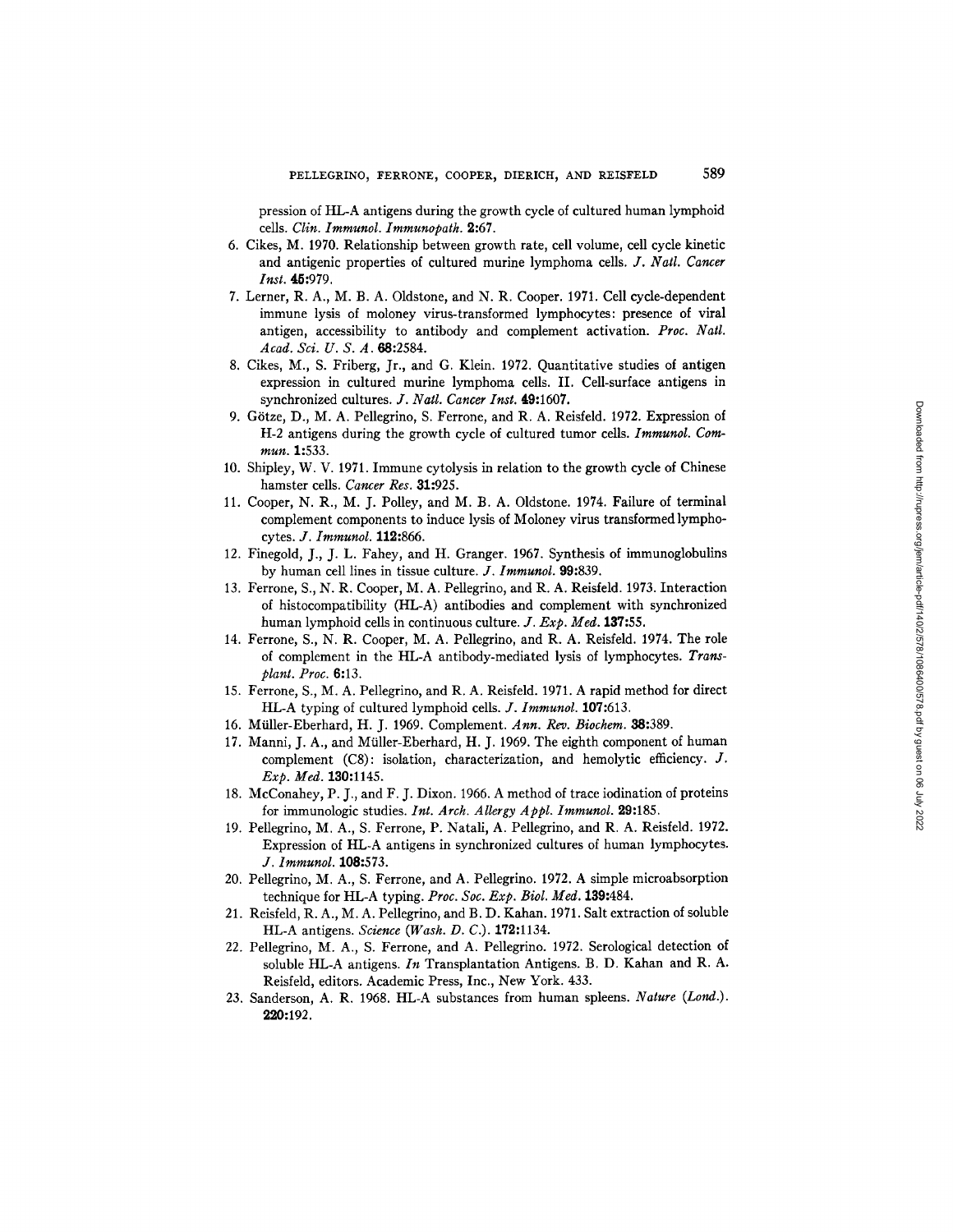pression of HL-A antigens during the growth cycle of cultured human lymphoid cells. *Clin. Immunol. Immunopath.* 9.:67.

- 6. Cikes, M. 1970. Relationship between growth rate, cell volume, cell cycle kinetic and antigenic properties of cultured murine lymphoma cells. *J. Natl. Cancer Inst.* 45:979.
- 7. Lerner, R. A., M. B. A. Oldstone, and N. R. Cooper. 1971. Cell cycle-dependent immune lysis of moloney virus-transformed lymphocytes: presence of viral antigen, accessibility to antibody and complement activation. *Proc. Natl. Acad. Sci. U. S. A.* 68:2584.
- 8. Cikes, M., S. Friberg, Jr., and G. Klein. 1972. Quantitative studies of antigen expression in cultured murine lymphoma cells. II. Cell-surface antigens in synchronized cultures, *d. Natl. Cancer Inst.* 49:1607.
- 9. Götze, D., M. A. Pellegrino, S. Ferrone, and R. A. Reisfeld. 1972. Expression of H-2 antigens during the growth cycle of cultured tumor cells. *Immunol. Commun.* 1:533.
- 10. Shipley, W. V. 1971. Immune cytolysis in relation to the growth cycle of Chinese hamster cells. *Cancer Res.* 31:925.
- 11. Cooper, N. R., M. J. Polley, and M. B. A. Oldstone. 1974. Failure of terminal complement components to induce lysis of Moloney virus transformed lymphocytes. *J. Immunol.* 112:866.
- 12. Finegold, J., J. L. Fahey, and H. Granger. 1967. Synthesis of immunoglobulins by human cell lines in tissue culture. *J. Immunol.* 99:839.
- 13. Ferrone, S., N. R. Cooper, M. A. Pellegrino, and R. A. Reisfeld. 1973. Interaction of histocompatibility (HL-A) antibodies and complement with synchronized human lymphoid cells in continuous culture. *J. Exp. Med.* 137:55.
- 14. Ferrone, S., N. R. Cooper, M. A. Pellegrino, and R. A. Reisfeld. 1974. The role of complement in the HL-A antibody-mediated lysis of lymphocytes. *Transplant. Proc.* 6:13.
- 15. Ferrone, S., M. A. Pellegrino, and R. A. Reisfeld. 1971. A rapid method for direct HL-A typing of cultured lymphoid cells. *J. Immunol.* 107:613.
- 16. Miiller-Eberhard, H. J. 1969. Complement. *Ann. Rev. Biochem.* 68:389.
- 17. Manni, J. A., and Müller-Eberhard, H. J. 1969. The eighth component of human complement (C8): isolation, characterization, and hemolytic efficiency. J. *Exp. Med.* 130:1145.
- 18. McConahey, P. J., and F. J. Dixon. 1966. A method of trace iodination of proteins for immunologic studies. *Int. Arch. Allergy Appl. Immunol.* 29:185.
- 19. Pellegrino, M. A., S. Ferrone, P. Natali, A. Pellegrino, and R. A. Reisfeld. 1972. Expression of HL-A antigens in synchronized cultures of human lymphocytes. *J. lmmunol.* 108:573.
- 20. Pellegrino, M. A., S. Ferrone, and A. Pellegrino. 1972. A simple microabsorption technique for HL-A typing. *Proc. Soc. Exp. Biol. Med.* 139:484.
- 21. Reisfeld, R. A., M. A. Pellegrino, and B. D. Kahan. 1971. Salt extraction of soluble HL-A antigens. *Science (Wash. D. C.).* 179.:1134.
- 22. Pellegrino, M. A., S. Ferrone, and A. Pellegrino. 1972. Serological detection of soluble HL-A antigens. *In* Transplantation Antigens. B. D. Kahan and R. A. Reisfeld, editors. Academic Press, Inc., New York. 433.
- 23. Sanderson, A. R. 1968. HL-A substances from human spleens. *Nature (Lord.).*  220:192.